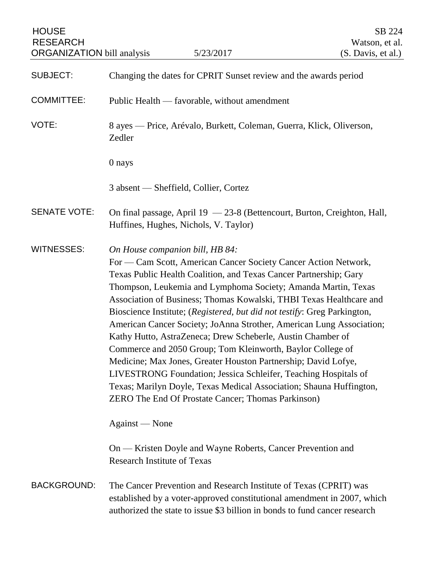| <b>HOUSE</b><br><b>RESEARCH</b><br><b>ORGANIZATION</b> bill analysis | 5/23/2017                                                                                                                                                                                                                                                                                                                                                                                                                                                                                                                                                                                                                                                                                                                                                                                                                                                                 | SB 224<br>Watson, et al.<br>(S. Davis, et al.) |
|----------------------------------------------------------------------|---------------------------------------------------------------------------------------------------------------------------------------------------------------------------------------------------------------------------------------------------------------------------------------------------------------------------------------------------------------------------------------------------------------------------------------------------------------------------------------------------------------------------------------------------------------------------------------------------------------------------------------------------------------------------------------------------------------------------------------------------------------------------------------------------------------------------------------------------------------------------|------------------------------------------------|
| <b>SUBJECT:</b>                                                      | Changing the dates for CPRIT Sunset review and the awards period                                                                                                                                                                                                                                                                                                                                                                                                                                                                                                                                                                                                                                                                                                                                                                                                          |                                                |
| <b>COMMITTEE:</b>                                                    | Public Health — favorable, without amendment                                                                                                                                                                                                                                                                                                                                                                                                                                                                                                                                                                                                                                                                                                                                                                                                                              |                                                |
| VOTE:                                                                | 8 ayes — Price, Arévalo, Burkett, Coleman, Guerra, Klick, Oliverson,<br>Zedler                                                                                                                                                                                                                                                                                                                                                                                                                                                                                                                                                                                                                                                                                                                                                                                            |                                                |
|                                                                      | 0 nays                                                                                                                                                                                                                                                                                                                                                                                                                                                                                                                                                                                                                                                                                                                                                                                                                                                                    |                                                |
|                                                                      | 3 absent — Sheffield, Collier, Cortez                                                                                                                                                                                                                                                                                                                                                                                                                                                                                                                                                                                                                                                                                                                                                                                                                                     |                                                |
| <b>SENATE VOTE:</b>                                                  | On final passage, April 19 - 23-8 (Bettencourt, Burton, Creighton, Hall,<br>Huffines, Hughes, Nichols, V. Taylor)                                                                                                                                                                                                                                                                                                                                                                                                                                                                                                                                                                                                                                                                                                                                                         |                                                |
| <b>WITNESSES:</b>                                                    | On House companion bill, HB 84:<br>For — Cam Scott, American Cancer Society Cancer Action Network,<br>Texas Public Health Coalition, and Texas Cancer Partnership; Gary<br>Thompson, Leukemia and Lymphoma Society; Amanda Martin, Texas<br>Association of Business; Thomas Kowalski, THBI Texas Healthcare and<br>Bioscience Institute; (Registered, but did not testify: Greg Parkington,<br>American Cancer Society; JoAnna Strother, American Lung Association;<br>Kathy Hutto, AstraZeneca; Drew Scheberle, Austin Chamber of<br>Commerce and 2050 Group; Tom Kleinworth, Baylor College of<br>Medicine; Max Jones, Greater Houston Partnership; David Lofye,<br>LIVESTRONG Foundation; Jessica Schleifer, Teaching Hospitals of<br>Texas; Marilyn Doyle, Texas Medical Association; Shauna Huffington,<br><b>ZERO</b> The End Of Prostate Cancer; Thomas Parkinson) |                                                |
|                                                                      | Against — None                                                                                                                                                                                                                                                                                                                                                                                                                                                                                                                                                                                                                                                                                                                                                                                                                                                            |                                                |
|                                                                      | On — Kristen Doyle and Wayne Roberts, Cancer Prevention and<br><b>Research Institute of Texas</b>                                                                                                                                                                                                                                                                                                                                                                                                                                                                                                                                                                                                                                                                                                                                                                         |                                                |
| <b>BACKGROUND:</b>                                                   | The Cancer Prevention and Research Institute of Texas (CPRIT) was<br>established by a voter-approved constitutional amendment in 2007, which<br>authorized the state to issue \$3 billion in bonds to fund cancer research                                                                                                                                                                                                                                                                                                                                                                                                                                                                                                                                                                                                                                                |                                                |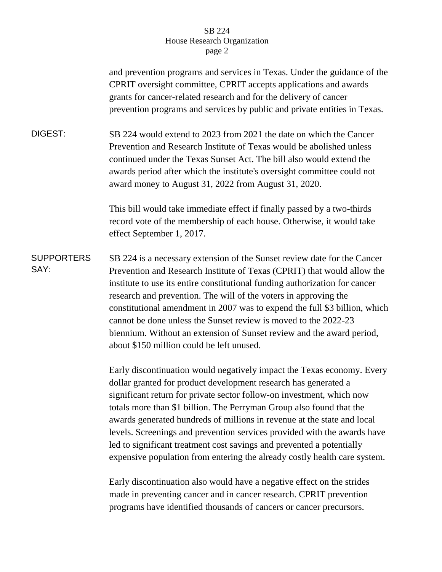## SB 224 House Research Organization page 2

|                           | and prevention programs and services in Texas. Under the guidance of the<br>CPRIT oversight committee, CPRIT accepts applications and awards<br>grants for cancer-related research and for the delivery of cancer<br>prevention programs and services by public and private entities in Texas.                                                                                                                                                                                                                                                                                                          |
|---------------------------|---------------------------------------------------------------------------------------------------------------------------------------------------------------------------------------------------------------------------------------------------------------------------------------------------------------------------------------------------------------------------------------------------------------------------------------------------------------------------------------------------------------------------------------------------------------------------------------------------------|
| DIGEST:                   | SB 224 would extend to 2023 from 2021 the date on which the Cancer<br>Prevention and Research Institute of Texas would be abolished unless<br>continued under the Texas Sunset Act. The bill also would extend the<br>awards period after which the institute's oversight committee could not<br>award money to August 31, 2022 from August 31, 2020.                                                                                                                                                                                                                                                   |
|                           | This bill would take immediate effect if finally passed by a two-thirds<br>record vote of the membership of each house. Otherwise, it would take<br>effect September 1, 2017.                                                                                                                                                                                                                                                                                                                                                                                                                           |
| <b>SUPPORTERS</b><br>SAY: | SB 224 is a necessary extension of the Sunset review date for the Cancer<br>Prevention and Research Institute of Texas (CPRIT) that would allow the<br>institute to use its entire constitutional funding authorization for cancer<br>research and prevention. The will of the voters in approving the<br>constitutional amendment in 2007 was to expend the full \$3 billion, which<br>cannot be done unless the Sunset review is moved to the 2022-23<br>biennium. Without an extension of Sunset review and the award period,<br>about \$150 million could be left unused.                           |
|                           | Early discontinuation would negatively impact the Texas economy. Every<br>dollar granted for product development research has generated a<br>significant return for private sector follow-on investment, which now<br>totals more than \$1 billion. The Perryman Group also found that the<br>awards generated hundreds of millions in revenue at the state and local<br>levels. Screenings and prevention services provided with the awards have<br>led to significant treatment cost savings and prevented a potentially<br>expensive population from entering the already costly health care system. |

Early discontinuation also would have a negative effect on the strides made in preventing cancer and in cancer research. CPRIT prevention programs have identified thousands of cancers or cancer precursors.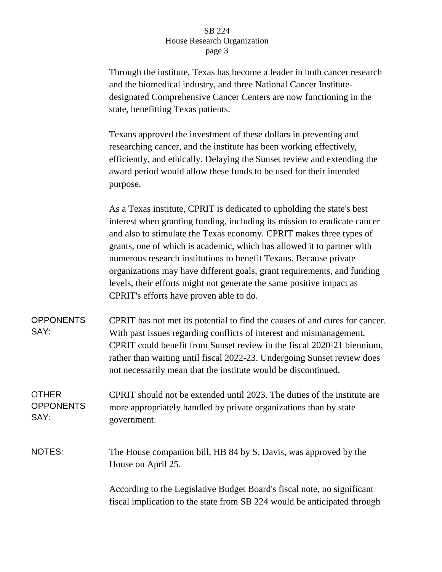## SB 224 House Research Organization page 3

Through the institute, Texas has become a leader in both cancer research and the biomedical industry, and three National Cancer Institutedesignated Comprehensive Cancer Centers are now functioning in the state, benefitting Texas patients.

Texans approved the investment of these dollars in preventing and researching cancer, and the institute has been working effectively, efficiently, and ethically. Delaying the Sunset review and extending the award period would allow these funds to be used for their intended purpose.

As a Texas institute, CPRIT is dedicated to upholding the state's best interest when granting funding, including its mission to eradicate cancer and also to stimulate the Texas economy. CPRIT makes three types of grants, one of which is academic, which has allowed it to partner with numerous research institutions to benefit Texans. Because private organizations may have different goals, grant requirements, and funding levels, their efforts might not generate the same positive impact as CPRIT's efforts have proven able to do.

OPPONENTS SAY: CPRIT has not met its potential to find the causes of and cures for cancer. With past issues regarding conflicts of interest and mismanagement, CPRIT could benefit from Sunset review in the fiscal 2020-21 biennium, rather than waiting until fiscal 2022-23. Undergoing Sunset review does not necessarily mean that the institute would be discontinued.

## **OTHER OPPONENTS** SAY: CPRIT should not be extended until 2023. The duties of the institute are more appropriately handled by private organizations than by state government.

NOTES: The House companion bill, HB 84 by S. Davis, was approved by the House on April 25.

> According to the Legislative Budget Board's fiscal note, no significant fiscal implication to the state from SB 224 would be anticipated through